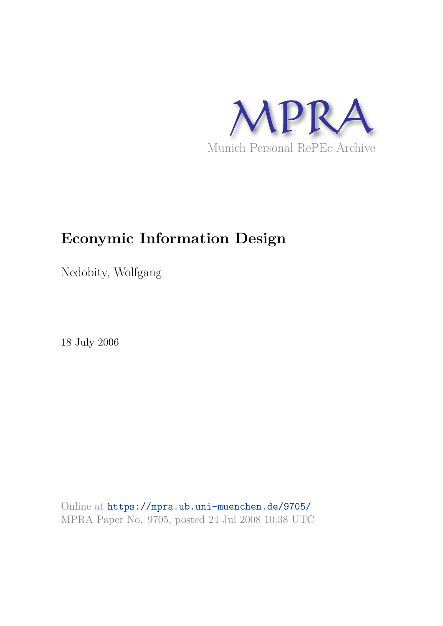

# **Econymic Information Design**

Nedobity, Wolfgang

18 July 2006

Online at https://mpra.ub.uni-muenchen.de/9705/ MPRA Paper No. 9705, posted 24 Jul 2008 10:38 UTC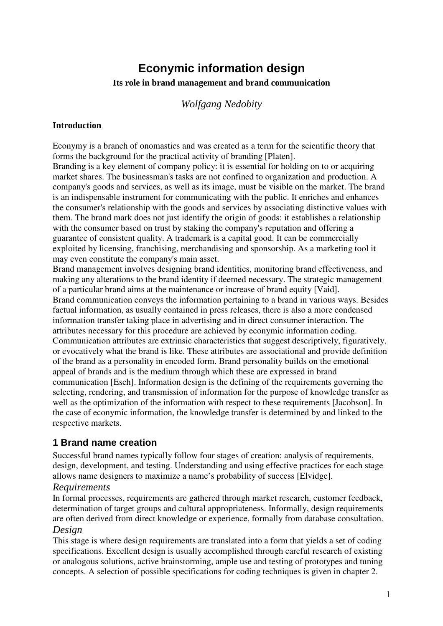# **Econymic information design**

#### **Its role in brand management and brand communication**

# *Wolfgang Nedobity*

#### **Introduction**

Econymy is a branch of onomastics and was created as a term for the scientific theory that forms the background for the practical activity of branding [Platen]. Branding is a key element of company policy: it is essential for holding on to or acquiring

market shares. The businessman's tasks are not confined to organization and production. A company's goods and services, as well as its image, must be visible on the market. The brand is an indispensable instrument for communicating with the public. It enriches and enhances the consumer's relationship with the goods and services by associating distinctive values with them. The brand mark does not just identify the origin of goods: it establishes a relationship with the consumer based on trust by staking the company's reputation and offering a guarantee of consistent quality. A trademark is a capital good. It can be commercially exploited by licensing, franchising, merchandising and sponsorship. As a marketing tool it may even constitute the company's main asset.

Brand management involves designing brand identities, monitoring brand effectiveness, and making any alterations to the brand identity if deemed necessary. The strategic management of a particular brand aims at the maintenance or increase of brand equity [Vaid]. Brand communication conveys the information pertaining to a brand in various ways. Besides factual information, as usually contained in press releases, there is also a more condensed information transfer taking place in advertising and in direct consumer interaction. The attributes necessary for this procedure are achieved by econymic information coding. Communication attributes are extrinsic characteristics that suggest descriptively, figuratively, or evocatively what the brand is like. These attributes are associational and provide definition of the brand as a personality in encoded form. Brand personality builds on the emotional appeal of brands and is the medium through which these are expressed in brand communication [Esch]. Information design is the defining of the requirements governing the selecting, rendering, and transmission of information for the purpose of knowledge transfer as well as the optimization of the information with respect to these requirements [Jacobson]. In the case of econymic information, the knowledge transfer is determined by and linked to the respective markets.

#### **1 Brand name creation**

Successful brand names typically follow four stages of creation: analysis of requirements, design, development, and testing. Understanding and using effective practices for each stage allows name designers to maximize a name's probability of success [Elvidge].

#### *Requirements*

In formal processes, requirements are gathered through market research, customer feedback, determination of target groups and cultural appropriateness. Informally, design requirements are often derived from direct knowledge or experience, formally from database consultation.

#### *Design*

This stage is where design requirements are translated into a form that yields a set of coding specifications. Excellent design is usually accomplished through careful research of existing or analogous solutions, active brainstorming, ample use and testing of prototypes and tuning concepts. A selection of possible specifications for coding techniques is given in chapter 2.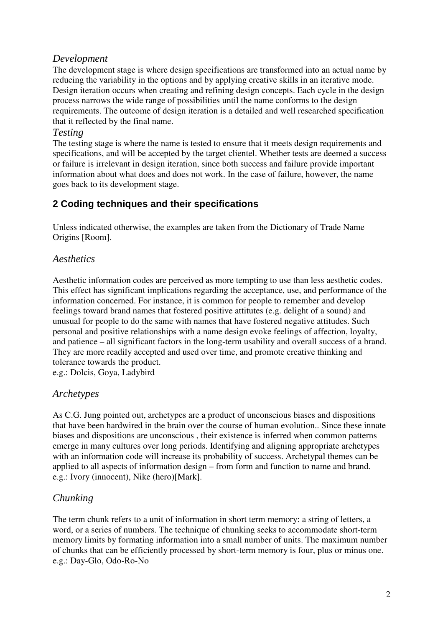#### *Development*

The development stage is where design specifications are transformed into an actual name by reducing the variability in the options and by applying creative skills in an iterative mode. Design iteration occurs when creating and refining design concepts. Each cycle in the design process narrows the wide range of possibilities until the name conforms to the design requirements. The outcome of design iteration is a detailed and well researched specification that it reflected by the final name.

#### *Testing*

The testing stage is where the name is tested to ensure that it meets design requirements and specifications, and will be accepted by the target clientel. Whether tests are deemed a success or failure is irrelevant in design iteration, since both success and failure provide important information about what does and does not work. In the case of failure, however, the name goes back to its development stage.

# **2 Coding techniques and their specifications**

Unless indicated otherwise, the examples are taken from the Dictionary of Trade Name Origins [Room].

# *Aesthetics*

Aesthetic information codes are perceived as more tempting to use than less aesthetic codes. This effect has significant implications regarding the acceptance, use, and performance of the information concerned. For instance, it is common for people to remember and develop feelings toward brand names that fostered positive attitutes (e.g. delight of a sound) and unusual for people to do the same with names that have fostered negative attitudes. Such personal and positive relationships with a name design evoke feelings of affection, loyalty, and patience – all significant factors in the long-term usability and overall success of a brand. They are more readily accepted and used over time, and promote creative thinking and tolerance towards the product.

e.g.: Dolcis, Goya, Ladybird

# *Archetypes*

As C.G. Jung pointed out, archetypes are a product of unconscious biases and dispositions that have been hardwired in the brain over the course of human evolution.. Since these innate biases and dispositions are unconscious , their existence is inferred when common patterns emerge in many cultures over long periods. Identifying and aligning appropriate archetypes with an information code will increase its probability of success. Archetypal themes can be applied to all aspects of information design – from form and function to name and brand. e.g.: Ivory (innocent), Nike (hero)[Mark].

# *Chunking*

The term chunk refers to a unit of information in short term memory: a string of letters, a word, or a series of numbers. The technique of chunking seeks to accommodate short-term memory limits by formating information into a small number of units. The maximum number of chunks that can be efficiently processed by short-term memory is four, plus or minus one. e.g.: Day-Glo, Odo-Ro-No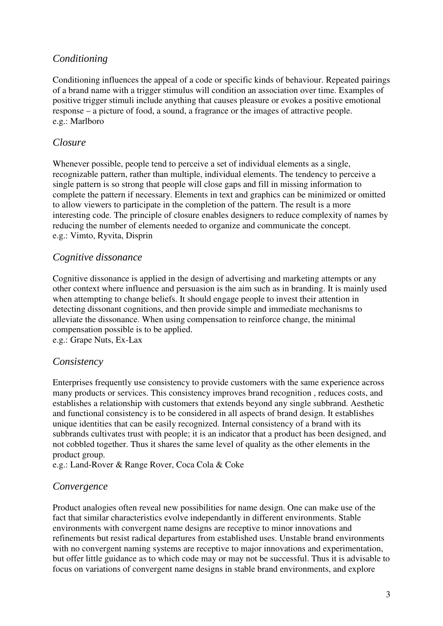#### *Conditioning*

Conditioning influences the appeal of a code or specific kinds of behaviour. Repeated pairings of a brand name with a trigger stimulus will condition an association over time. Examples of positive trigger stimuli include anything that causes pleasure or evokes a positive emotional response – a picture of food, a sound, a fragrance or the images of attractive people. e.g.: Marlboro

#### *Closure*

Whenever possible, people tend to perceive a set of individual elements as a single, recognizable pattern, rather than multiple, individual elements. The tendency to perceive a single pattern is so strong that people will close gaps and fill in missing information to complete the pattern if necessary. Elements in text and graphics can be minimized or omitted to allow viewers to participate in the completion of the pattern. The result is a more interesting code. The principle of closure enables designers to reduce complexity of names by reducing the number of elements needed to organize and communicate the concept. e.g.: Vimto, Ryvita, Disprin

#### *Cognitive dissonance*

Cognitive dissonance is applied in the design of advertising and marketing attempts or any other context where influence and persuasion is the aim such as in branding. It is mainly used when attempting to change beliefs. It should engage people to invest their attention in detecting dissonant cognitions, and then provide simple and immediate mechanisms to alleviate the dissonance. When using compensation to reinforce change, the minimal compensation possible is to be applied. e.g.: Grape Nuts, Ex-Lax

#### *Consistency*

Enterprises frequently use consistency to provide customers with the same experience across many products or services. This consistency improves brand recognition , reduces costs, and establishes a relationship with customers that extends beyond any single subbrand. Aesthetic and functional consistency is to be considered in all aspects of brand design. It establishes unique identities that can be easily recognized. Internal consistency of a brand with its subbrands cultivates trust with people; it is an indicator that a product has been designed, and not cobbled together. Thus it shares the same level of quality as the other elements in the product group.

e.g.: Land-Rover & Range Rover, Coca Cola & Coke

# *Convergence*

Product analogies often reveal new possibilities for name design. One can make use of the fact that similar characteristics evolve independantly in different environments. Stable environments with convergent name designs are receptive to minor innovations and refinements but resist radical departures from established uses. Unstable brand environments with no convergent naming systems are receptive to major innovations and experimentation, but offer little guidance as to which code may or may not be successful. Thus it is advisable to focus on variations of convergent name designs in stable brand environments, and explore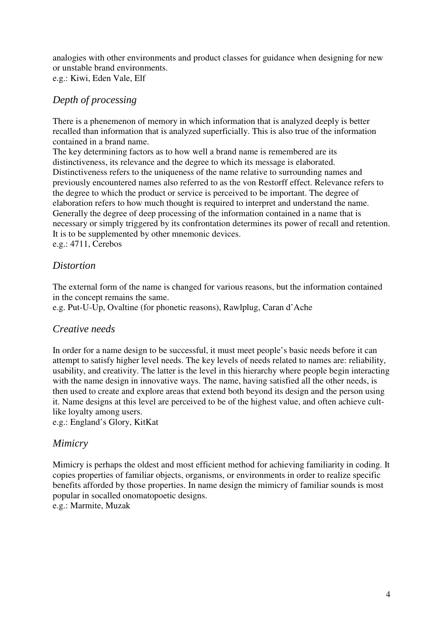analogies with other environments and product classes for guidance when designing for new or unstable brand environments. e.g.: Kiwi, Eden Vale, Elf

# *Depth of processing*

There is a phenemenon of memory in which information that is analyzed deeply is better recalled than information that is analyzed superficially. This is also true of the information contained in a brand name.

The key determining factors as to how well a brand name is remembered are its distinctiveness, its relevance and the degree to which its message is elaborated. Distinctiveness refers to the uniqueness of the name relative to surrounding names and previously encountered names also referred to as the von Restorff effect. Relevance refers to the degree to which the product or service is perceived to be important. The degree of elaboration refers to how much thought is required to interpret and understand the name. Generally the degree of deep processing of the information contained in a name that is necessary or simply triggered by its confrontation determines its power of recall and retention. It is to be supplemented by other mnemonic devices. e.g.: 4711, Cerebos

# *Distortion*

The external form of the name is changed for various reasons, but the information contained in the concept remains the same.

e.g. Put-U-Up, Ovaltine (for phonetic reasons), Rawlplug, Caran d'Ache

# *Creative needs*

In order for a name design to be successful, it must meet people's basic needs before it can attempt to satisfy higher level needs. The key levels of needs related to names are: reliability, usability, and creativity. The latter is the level in this hierarchy where people begin interacting with the name design in innovative ways. The name, having satisfied all the other needs, is then used to create and explore areas that extend both beyond its design and the person using it. Name designs at this level are perceived to be of the highest value, and often achieve cultlike loyalty among users.

e.g.: England's Glory, KitKat

# *Mimicry*

Mimicry is perhaps the oldest and most efficient method for achieving familiarity in coding. It copies properties of familiar objects, organisms, or environments in order to realize specific benefits afforded by those properties. In name design the mimicry of familiar sounds is most popular in socalled onomatopoetic designs. e.g.: Marmite, Muzak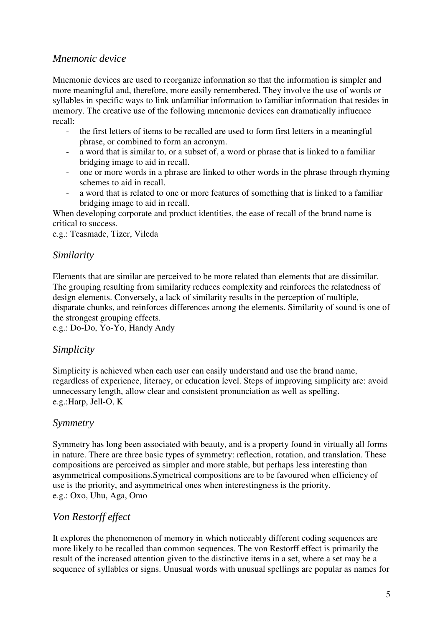#### *Mnemonic device*

Mnemonic devices are used to reorganize information so that the information is simpler and more meaningful and, therefore, more easily remembered. They involve the use of words or syllables in specific ways to link unfamiliar information to familiar information that resides in memory. The creative use of the following mnemonic devices can dramatically influence recall:

- the first letters of items to be recalled are used to form first letters in a meaningful phrase, or combined to form an acronym.
- a word that is similar to, or a subset of, a word or phrase that is linked to a familiar bridging image to aid in recall.
- one or more words in a phrase are linked to other words in the phrase through rhyming schemes to aid in recall.
- a word that is related to one or more features of something that is linked to a familiar bridging image to aid in recall.

When developing corporate and product identities, the ease of recall of the brand name is critical to success.

e.g.: Teasmade, Tizer, Vileda

#### *Similarity*

Elements that are similar are perceived to be more related than elements that are dissimilar. The grouping resulting from similarity reduces complexity and reinforces the relatedness of design elements. Conversely, a lack of similarity results in the perception of multiple, disparate chunks, and reinforces differences among the elements. Similarity of sound is one of the strongest grouping effects.

e.g.: Do-Do, Yo-Yo, Handy Andy

#### *Simplicity*

Simplicity is achieved when each user can easily understand and use the brand name, regardless of experience, literacy, or education level. Steps of improving simplicity are: avoid unnecessary length, allow clear and consistent pronunciation as well as spelling. e.g.:Harp, Jell-O, K

#### *Symmetry*

Symmetry has long been associated with beauty, and is a property found in virtually all forms in nature. There are three basic types of symmetry: reflection, rotation, and translation. These compositions are perceived as simpler and more stable, but perhaps less interesting than asymmetrical compositions.Symetrical compositions are to be favoured when efficiency of use is the priority, and asymmetrical ones when interestingness is the priority. e.g.: Oxo, Uhu, Aga, Omo

# *Von Restorff effect*

It explores the phenomenon of memory in which noticeably different coding sequences are more likely to be recalled than common sequences. The von Restorff effect is primarily the result of the increased attention given to the distinctive items in a set, where a set may be a sequence of syllables or signs. Unusual words with unusual spellings are popular as names for